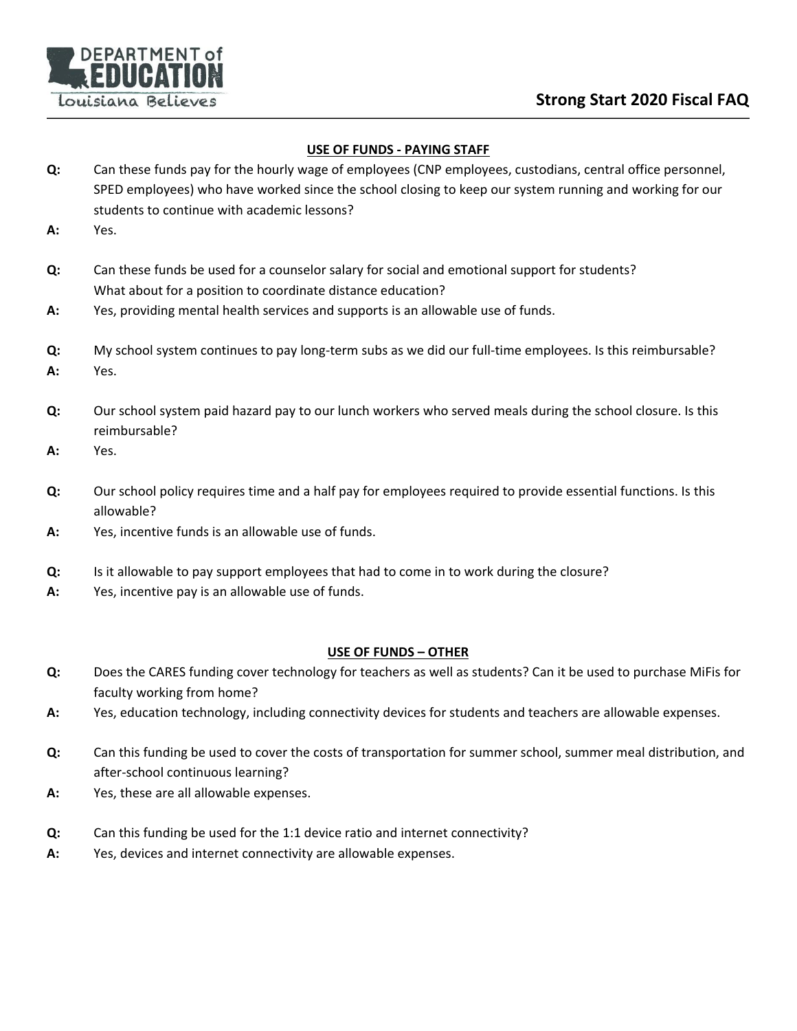

### **USE OF FUNDS - PAYING STAFF**

- **Q:** Can these funds pay for the hourly wage of employees (CNP employees, custodians, central office personnel, SPED employees) who have worked since the school closing to keep our system running and working for our students to continue with academic lessons?
- **A:** Yes.
- **Q:** Can these funds be used for a counselor salary for social and emotional support for students? What about for a position to coordinate distance education?
- **A:** Yes, providing mental health services and supports is an allowable use of funds.
- **Q:** My school system continues to pay long-term subs as we did our full-time employees. Is this reimbursable?
- **A:** Yes.
- **Q:** Our school system paid hazard pay to our lunch workers who served meals during the school closure. Is this reimbursable?
- **A:** Yes.
- **Q:** Our school policy requires time and a half pay for employees required to provide essential functions. Is this allowable?
- **A:** Yes, incentive funds is an allowable use of funds.
- **Q:** Is it allowable to pay support employees that had to come in to work during the closure?
- **A:** Yes, incentive pay is an allowable use of funds.

### **USE OF FUNDS – OTHER**

- **Q:** Does the CARES funding cover technology for teachers as well as students? Can it be used to purchase MiFis for faculty working from home?
- **A:** Yes, education technology, including connectivity devices for students and teachers are allowable expenses.
- **Q:** Can this funding be used to cover the costs of transportation for summer school, summer meal distribution, and after-school continuous learning?
- **A:** Yes, these are all allowable expenses.
- **Q:** Can this funding be used for the 1:1 device ratio and internet connectivity?
- **A:** Yes, devices and internet connectivity are allowable expenses.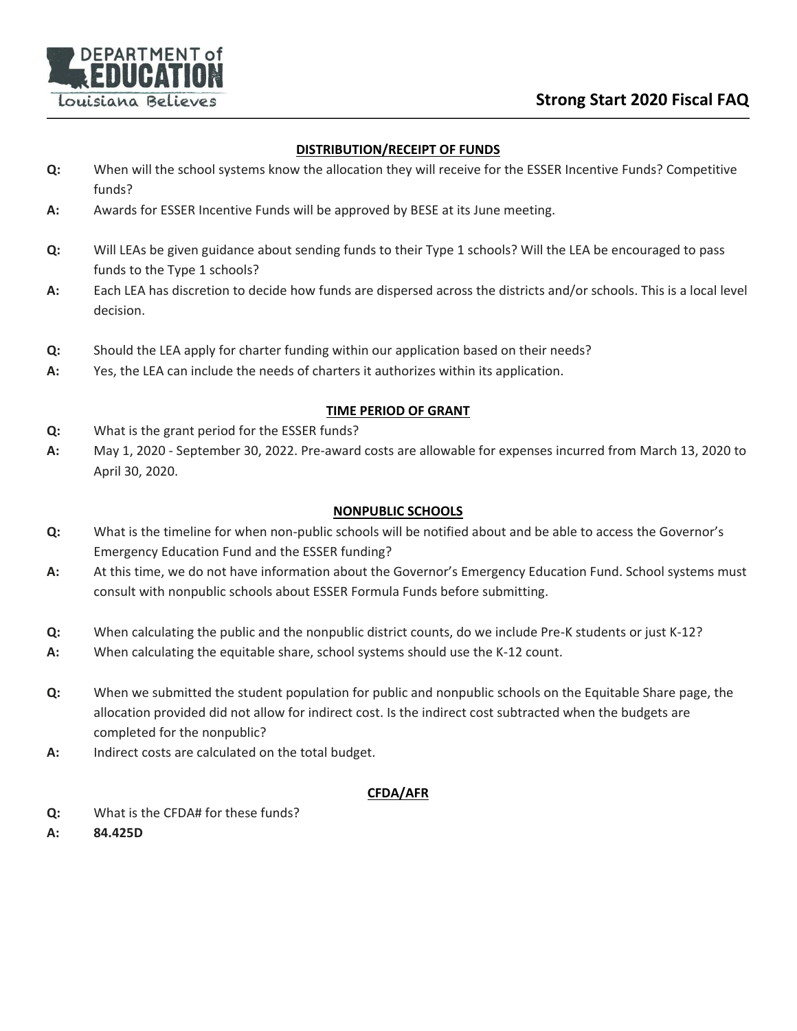

### **DISTRIBUTION/RECEIPT OF FUNDS**

- **Q:** When will the school systems know the allocation they will receive for the ESSER Incentive Funds? Competitive funds?
- **A:** Awards for ESSER Incentive Funds will be approved by BESE at its June meeting.
- **Q:** Will LEAs be given guidance about sending funds to their Type 1 schools? Will the LEA be encouraged to pass funds to the Type 1 schools?
- **A:** Each LEA has discretion to decide how funds are dispersed across the districts and/or schools. This is a local level decision.
- **Q:** Should the LEA apply for charter funding within our application based on their needs?
- **A:** Yes, the LEA can include the needs of charters it authorizes within its application.

## **TIME PERIOD OF GRANT**

- **Q:** What is the grant period for the ESSER funds?
- **A:** May 1, 2020 September 30, 2022. Pre-award costs are allowable for expenses incurred from March 13, 2020 to April 30, 2020.

## **NONPUBLIC SCHOOLS**

- **Q:** What is the timeline for when non-public schools will be notified about and be able to access the Governor's Emergency Education Fund and the ESSER funding?
- **A:** At this time, we do not have information about the Governor's Emergency Education Fund. School systems must consult with nonpublic schools about ESSER Formula Funds before submitting.
- **Q:** When calculating the public and the nonpublic district counts, do we include Pre-K students or just K-12?
- **A:** When calculating the equitable share, school systems should use the K-12 count.
- **Q:** When we submitted the student population for public and nonpublic schools on the Equitable Share page, the allocation provided did not allow for indirect cost. Is the indirect cost subtracted when the budgets are completed for the nonpublic?
- **A:** Indirect costs are calculated on the total budget.

# **CFDA/AFR**

- **Q:** What is the CFDA# for these funds?
- **A: 84.425D**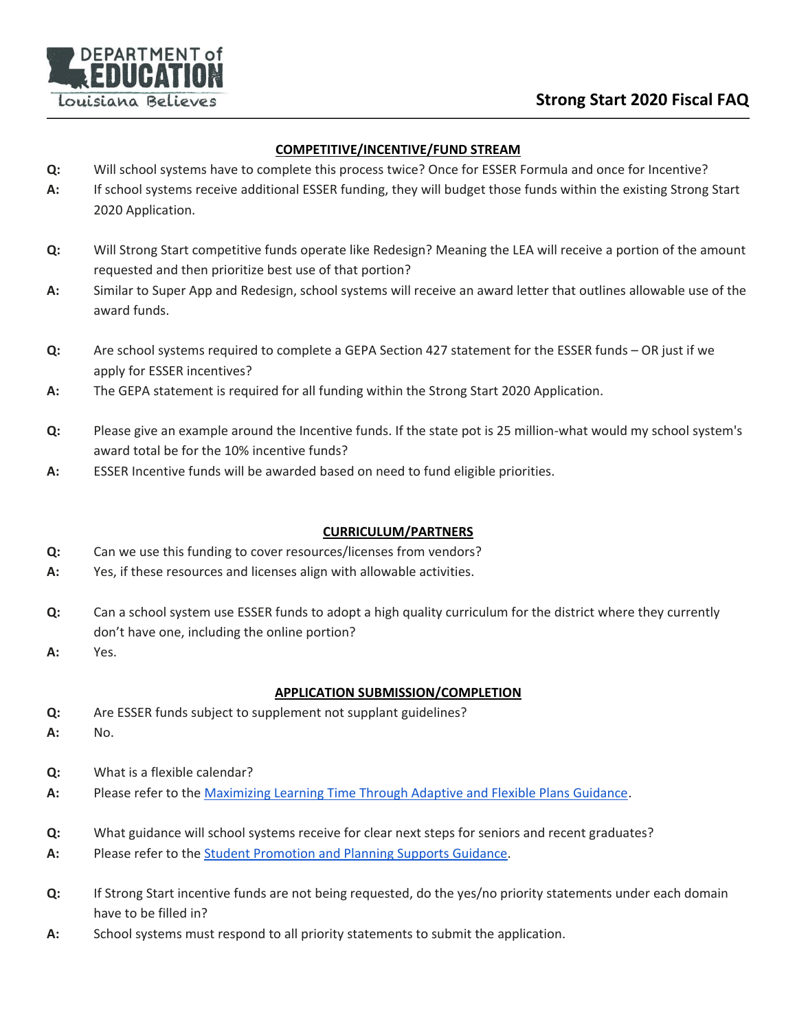

## **COMPETITIVE/INCENTIVE/FUND STREAM**

- **Q:** Will school systems have to complete this process twice? Once for ESSER Formula and once for Incentive?
- **A:** If school systems receive additional ESSER funding, they will budget those funds within the existing Strong Start 2020 Application.
- **Q:** Will Strong Start competitive funds operate like Redesign? Meaning the LEA will receive a portion of the amount requested and then prioritize best use of that portion?
- **A:** Similar to Super App and Redesign, school systems will receive an award letter that outlines allowable use of the award funds.
- **Q:** Are school systems required to complete a GEPA Section 427 statement for the ESSER funds OR just if we apply for ESSER incentives?
- **A:** The GEPA statement is required for all funding within the Strong Start 2020 Application.
- **Q:** Please give an example around the Incentive funds. If the state pot is 25 million-what would my school system's award total be for the 10% incentive funds?
- **A:** ESSER Incentive funds will be awarded based on need to fund eligible priorities.

### **CURRICULUM/PARTNERS**

- **Q:** Can we use this funding to cover resources/licenses from vendors?
- **A:** Yes, if these resources and licenses align with allowable activities.
- **Q:** Can a school system use ESSER funds to adopt a high quality curriculum for the district where they currently don't have one, including the online portion?
- **A:** Yes.

# **APPLICATION SUBMISSION/COMPLETION**

- **Q:** Are ESSER funds subject to supplement not supplant guidelines?
- **A:** No.
- **Q:** What is a flexible calendar?
- **A:** Please refer to the [Maximizing Learning Time Through Adaptive and Flexible Plans Guidance.](https://www.louisianabelieves.com/docs/default-source/strong-start-2020/maximizing-learning-time-through-adaptive-and-flexible-staffing-plans.pdf)
- **Q:** What guidance will school systems receive for clear next steps for seniors and recent graduates?
- **A:** Please refer to the [Student Promotion and Planning Supports Guidance.](https://www.louisianabelieves.com/docs/default-source/policy/student-promotion-and-planning-supports-guidance.pdf)
- **Q:** If Strong Start incentive funds are not being requested, do the yes/no priority statements under each domain have to be filled in?
- **A:** School systems must respond to all priority statements to submit the application.